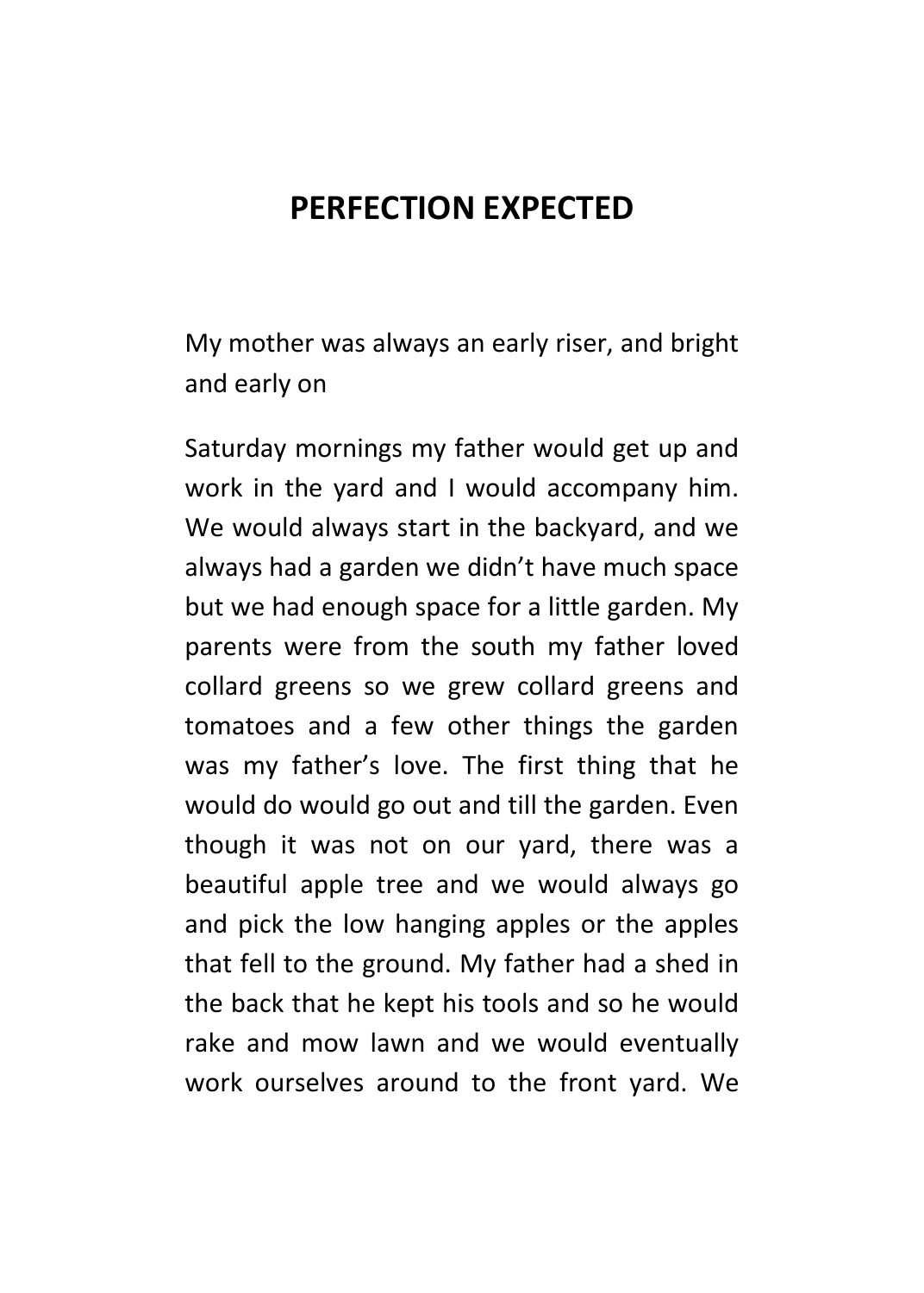## **PERFECTION EXPECTED**

My mother was always an early riser, and bright and early on

Saturday mornings my father would get up and work in the yard and I would accompany him. We would always start in the backyard, and we always had a garden we didn't have much space but we had enough space for a little garden. My parents were from the south my father loved collard greens so we grew collard greens and tomatoes and a few other things the garden was my father's love. The first thing that he would do would go out and till the garden. Even though it was not on our yard, there was a beautiful apple tree and we would always go and pick the low hanging apples or the apples that fell to the ground. My father had a shed in the back that he kept his tools and so he would rake and mow lawn and we would eventually work ourselves around to the front yard. We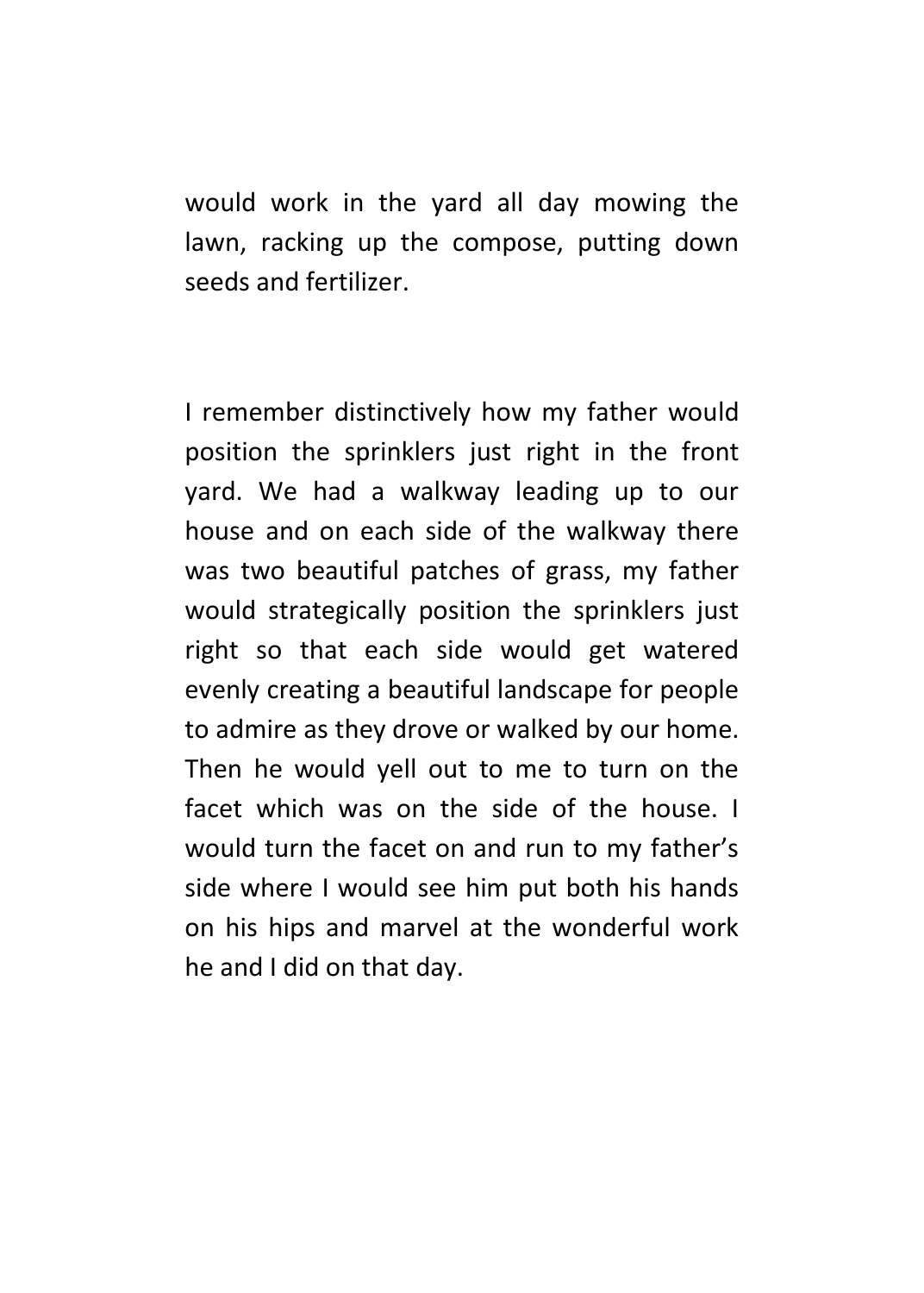would work in the yard all day mowing the lawn, racking up the compose, putting down seeds and fertilizer.

I remember distinctively how my father would position the sprinklers just right in the front yard. We had a walkway leading up to our house and on each side of the walkway there was two beautiful patches of grass, my father would strategically position the sprinklers just right so that each side would get watered evenly creating a beautiful landscape for people to admire as they drove or walked by our home. Then he would yell out to me to turn on the facet which was on the side of the house. I would turn the facet on and run to my father's side where I would see him put both his hands on his hips and marvel at the wonderful work he and I did on that day.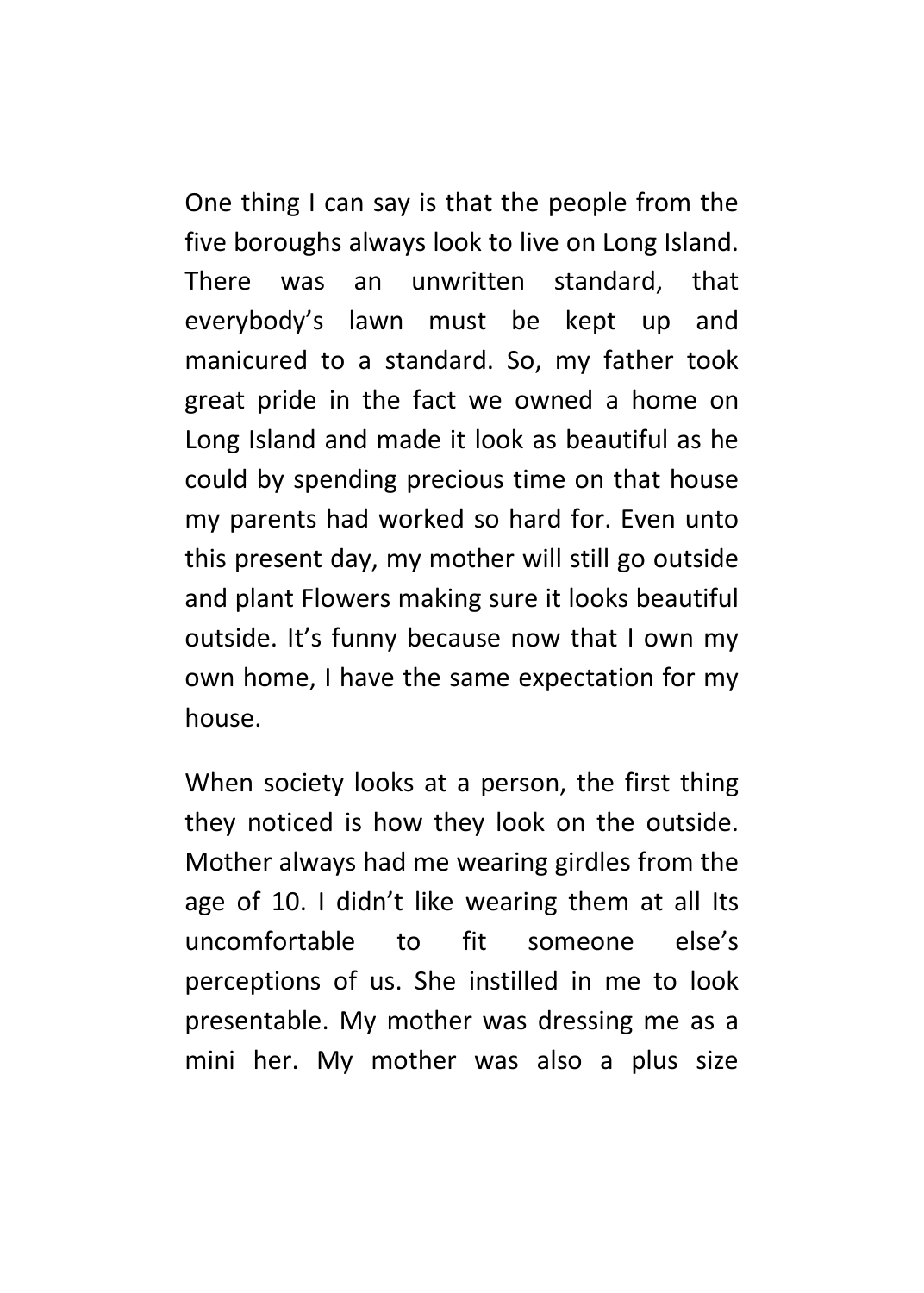One thing I can say is that the people from the five boroughs always look to live on Long Island. There was an unwritten standard, that everybody's lawn must be kept up and manicured to a standard. So, my father took great pride in the fact we owned a home on Long Island and made it look as beautiful as he could by spending precious time on that house my parents had worked so hard for. Even unto this present day, my mother will still go outside and plant Flowers making sure it looks beautiful outside. It's funny because now that I own my own home, I have the same expectation for my house.

When society looks at a person, the first thing they noticed is how they look on the outside. Mother always had me wearing girdles from the age of 10. I didn't like wearing them at all Its uncomfortable to fit someone else's perceptions of us. She instilled in me to look presentable. My mother was dressing me as a mini her. My mother was also a plus size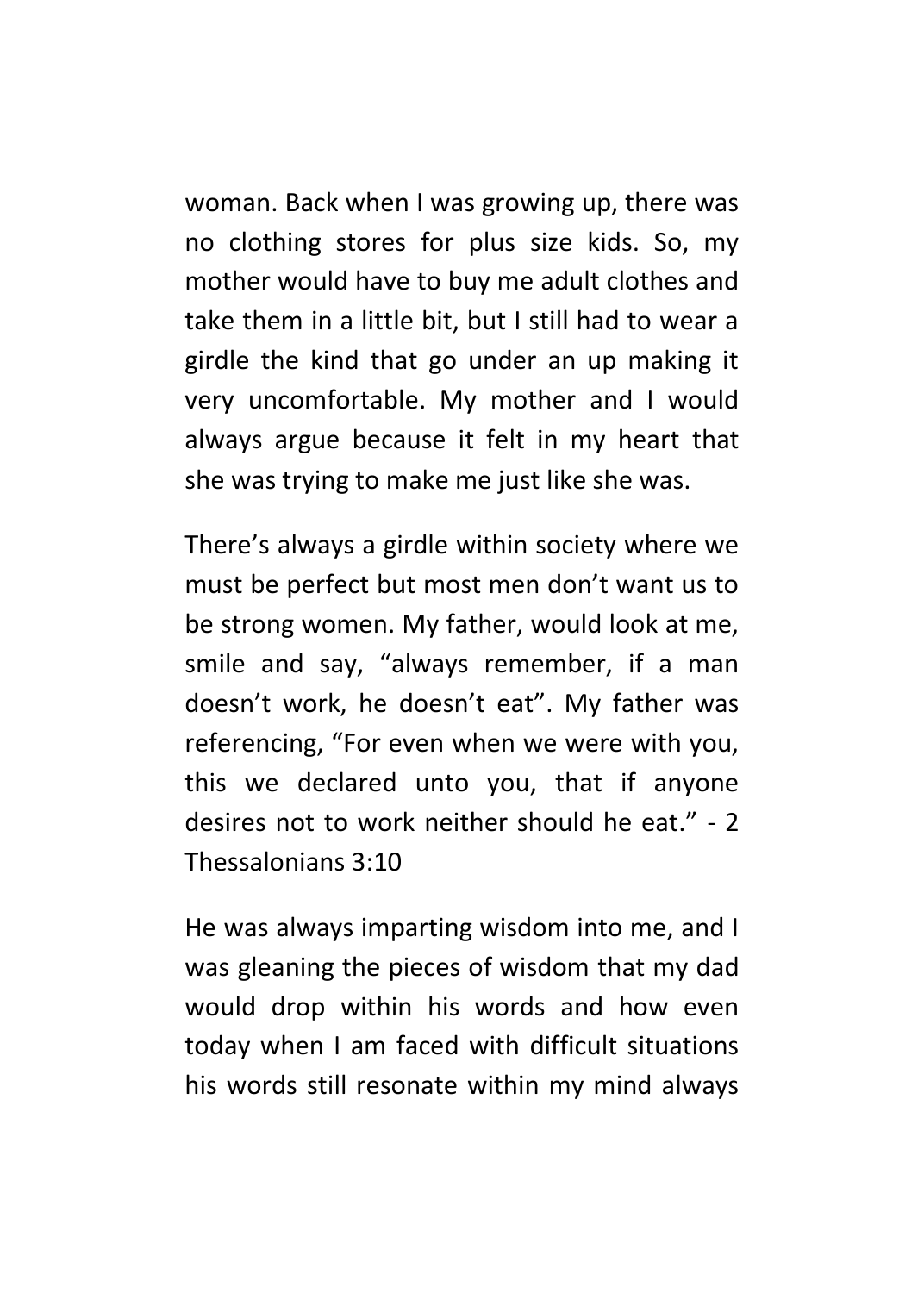woman. Back when I was growing up, there was no clothing stores for plus size kids. So, my mother would have to buy me adult clothes and take them in a little bit, but I still had to wear a girdle the kind that go under an up making it very uncomfortable. My mother and I would always argue because it felt in my heart that she was trying to make me just like she was.

There's always a girdle within society where we must be perfect but most men don't want us to be strong women. My father, would look at me, smile and say, "always remember, if a man doesn't work, he doesn't eat". My father was referencing, "For even when we were with you, this we declared unto you, that if anyone desires not to work neither should he eat." - 2 Thessalonians 3:10

He was always imparting wisdom into me, and I was gleaning the pieces of wisdom that my dad would drop within his words and how even today when I am faced with difficult situations his words still resonate within my mind always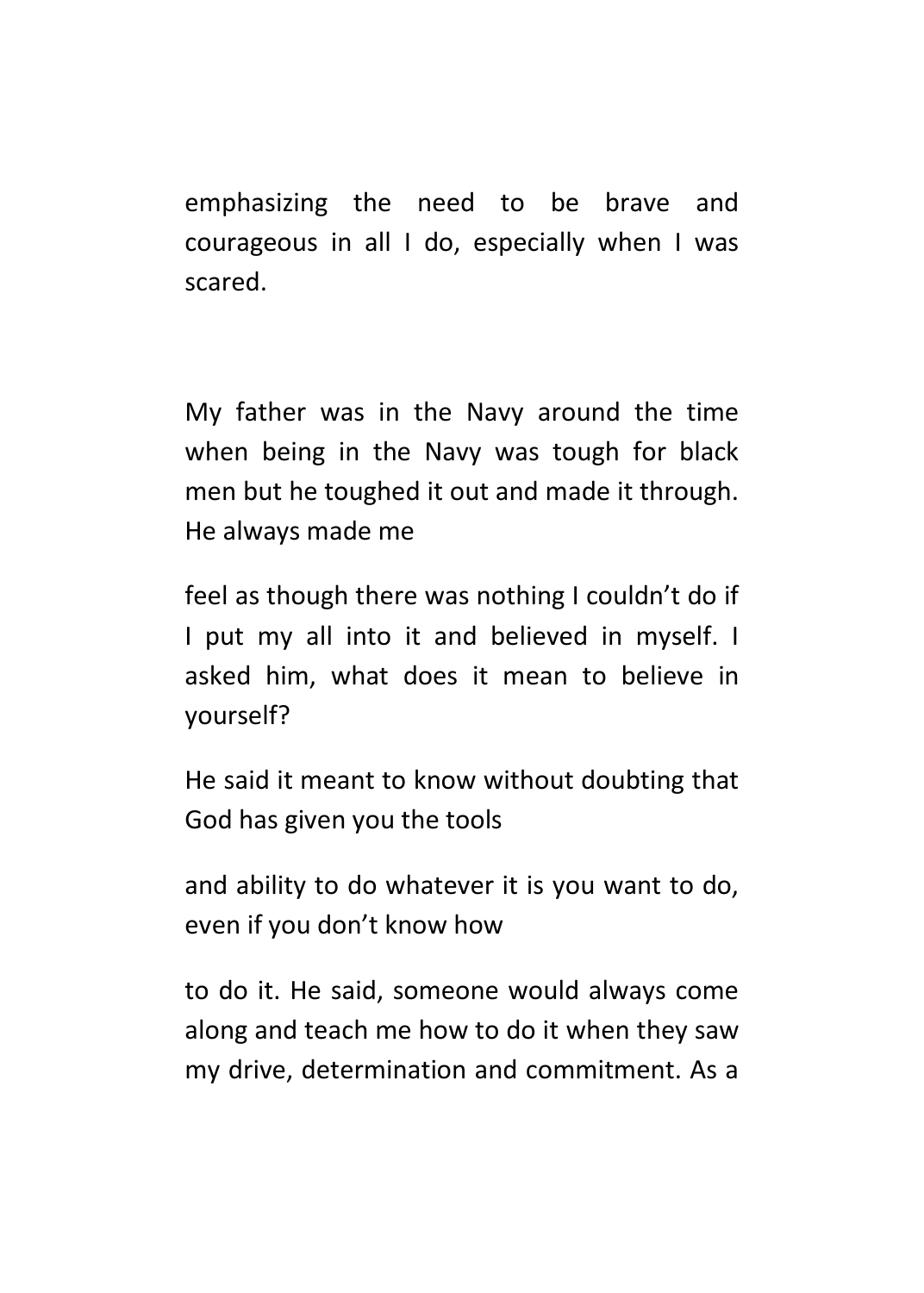emphasizing the need to be brave and courageous in all I do, especially when I was scared.

My father was in the Navy around the time when being in the Navy was tough for black men but he toughed it out and made it through. He always made me

feel as though there was nothing I couldn't do if I put my all into it and believed in myself. I asked him, what does it mean to believe in yourself?

He said it meant to know without doubting that God has given you the tools

and ability to do whatever it is you want to do, even if you don't know how

to do it. He said, someone would always come along and teach me how to do it when they saw my drive, determination and commitment. As a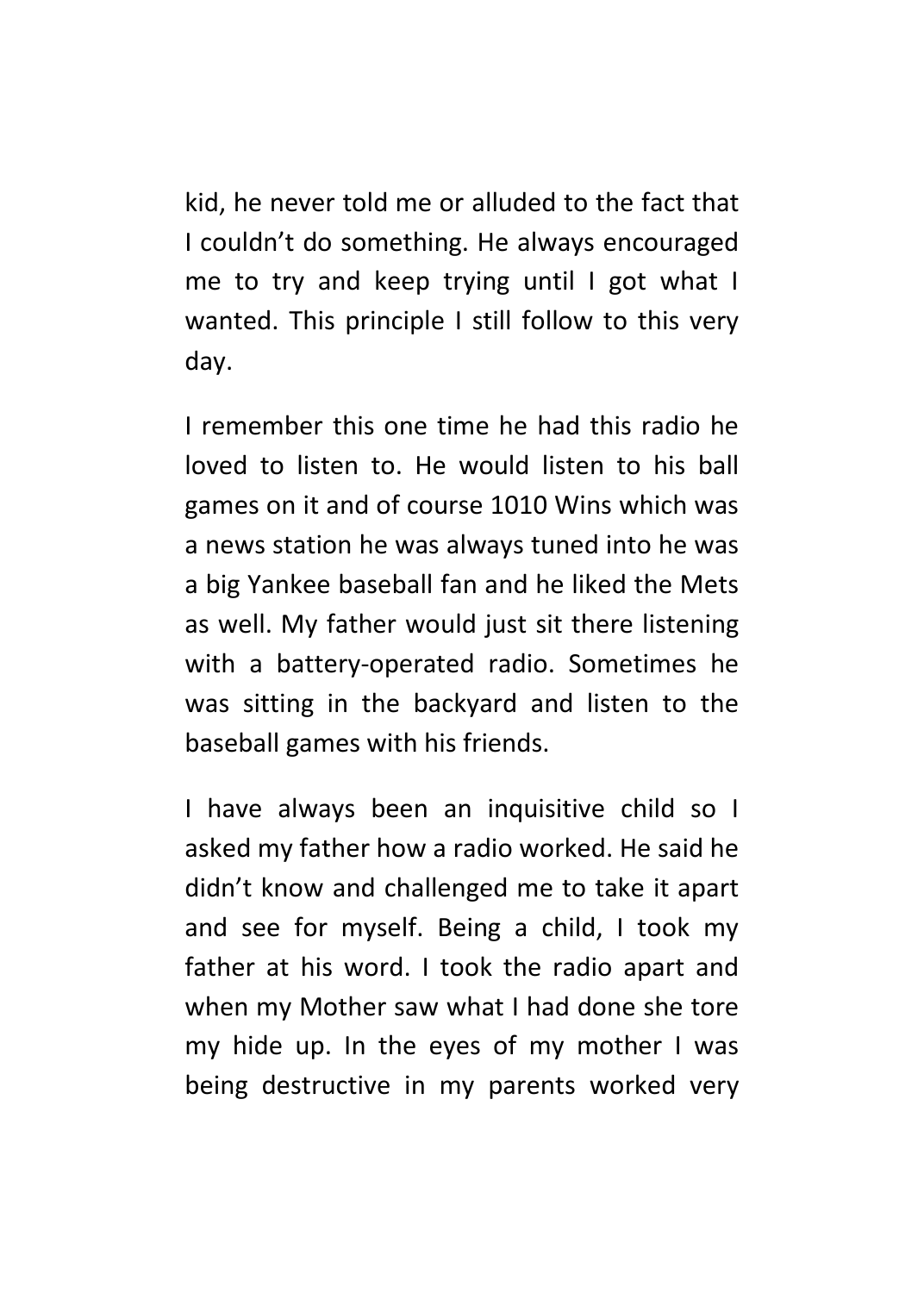kid, he never told me or alluded to the fact that I couldn't do something. He always encouraged me to try and keep trying until I got what I wanted. This principle I still follow to this very day.

I remember this one time he had this radio he loved to listen to. He would listen to his ball games on it and of course 1010 Wins which was a news station he was always tuned into he was a big Yankee baseball fan and he liked the Mets as well. My father would just sit there listening with a battery-operated radio. Sometimes he was sitting in the backyard and listen to the baseball games with his friends.

I have always been an inquisitive child so I asked my father how a radio worked. He said he didn't know and challenged me to take it apart and see for myself. Being a child, I took my father at his word. I took the radio apart and when my Mother saw what I had done she tore my hide up. In the eyes of my mother I was being destructive in my parents worked very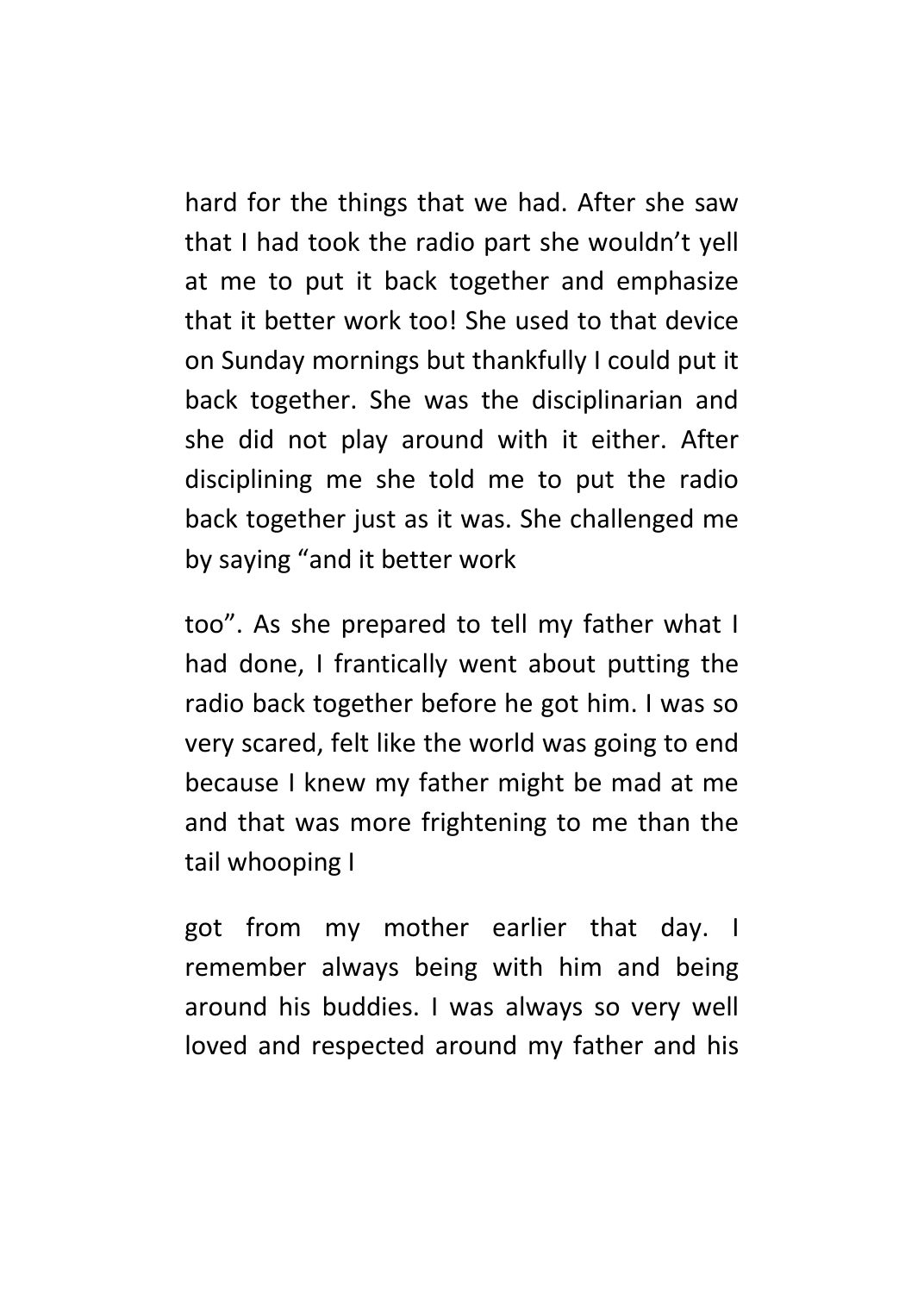hard for the things that we had. After she saw that I had took the radio part she wouldn't yell at me to put it back together and emphasize that it better work too! She used to that device on Sunday mornings but thankfully I could put it back together. She was the disciplinarian and she did not play around with it either. After disciplining me she told me to put the radio back together just as it was. She challenged me by saying "and it better work

too". As she prepared to tell my father what I had done, I frantically went about putting the radio back together before he got him. I was so very scared, felt like the world was going to end because I knew my father might be mad at me and that was more frightening to me than the tail whooping I

got from my mother earlier that day. I remember always being with him and being around his buddies. I was always so very well loved and respected around my father and his